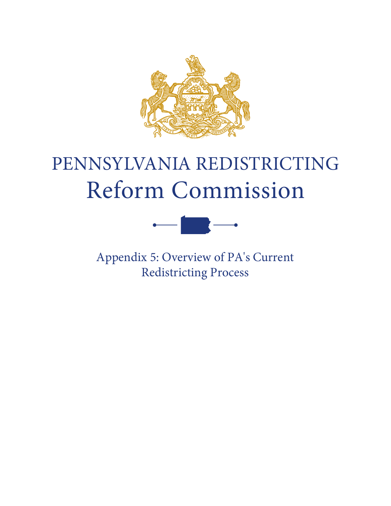

# PENNSYLVANIA REDISTRICTING Reform Commission



Appendix 5: Overview of PA's Current Redistricting Process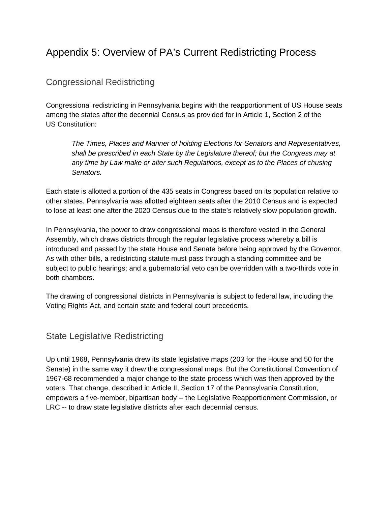# Appendix 5: Overview of PA's Current Redistricting Process

## Congressional Redistricting

Congressional redistricting in Pennsylvania begins with the reapportionment of US House seats among the states after the decennial Census as provided for in Article 1, Section 2 of the US Constitution:

*The Times, Places and Manner of holding Elections for Senators and Representatives, shall be prescribed in each State by the Legislature thereof; but the Congress may at any time by Law make or alter such Regulations, except as to the Places of chusing Senators.*

Each state is allotted a portion of the 435 seats in Congress based on its population relative to other states. Pennsylvania was allotted eighteen seats after the 2010 Census and is expected to lose at least one after the 2020 Census due to the state's relatively slow population growth.

In Pennsylvania, the power to draw congressional maps is therefore vested in the General Assembly, which draws districts through the regular legislative process whereby a bill is introduced and passed by the state House and Senate before being approved by the Governor. As with other bills, a redistricting statute must pass through a standing committee and be subject to public hearings; and a gubernatorial veto can be overridden with a two-thirds vote in both chambers.

The drawing of congressional districts in Pennsylvania is subject to federal law, including the Voting Rights Act, and certain state and federal court precedents.

#### State Legislative Redistricting

Up until 1968, Pennsylvania drew its state legislative maps (203 for the House and 50 for the Senate) in the same way it drew the congressional maps. But the Constitutional Convention of 1967-68 recommended a major change to the state process which was then approved by the voters. That change, described in Article II, Section 17 of the Pennsylvania Constitution, empowers a five-member, bipartisan body -- the Legislative Reapportionment Commission, or LRC -- to draw state legislative districts after each decennial census.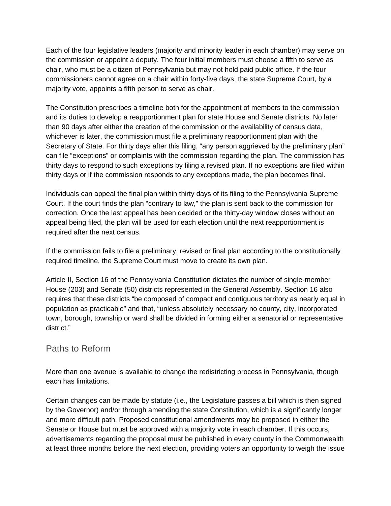Each of the four legislative leaders (majority and minority leader in each chamber) may serve on the commission or appoint a deputy. The four initial members must choose a fifth to serve as chair, who must be a citizen of Pennsylvania but may not hold paid public office. If the four commissioners cannot agree on a chair within forty-five days, the state Supreme Court, by a majority vote, appoints a fifth person to serve as chair.

The Constitution prescribes a timeline both for the appointment of members to the commission and its duties to develop a reapportionment plan for state House and Senate districts. No later than 90 days after either the creation of the commission or the availability of census data, whichever is later, the commission must file a preliminary reapportionment plan with the Secretary of State. For thirty days after this filing, "any person aggrieved by the preliminary plan" can file "exceptions" or complaints with the commission regarding the plan. The commission has thirty days to respond to such exceptions by filing a revised plan. If no exceptions are filed within thirty days or if the commission responds to any exceptions made, the plan becomes final.

Individuals can appeal the final plan within thirty days of its filing to the Pennsylvania Supreme Court. If the court finds the plan "contrary to law," the plan is sent back to the commission for correction. Once the last appeal has been decided or the thirty-day window closes without an appeal being filed, the plan will be used for each election until the next reapportionment is required after the next census.

If the commission fails to file a preliminary, revised or final plan according to the constitutionally required timeline, the Supreme Court must move to create its own plan.

Article II, Section 16 of the Pennsylvania Constitution dictates the number of single-member House (203) and Senate (50) districts represented in the General Assembly. Section 16 also requires that these districts "be composed of compact and contiguous territory as nearly equal in population as practicable" and that, "unless absolutely necessary no county, city, incorporated town, borough, township or ward shall be divided in forming either a senatorial or representative district."

### Paths to Reform

More than one avenue is available to change the redistricting process in Pennsylvania, though each has limitations.

Certain changes can be made by statute (i.e., the Legislature passes a bill which is then signed by the Governor) and/or through amending the state Constitution, which is a significantly longer and more difficult path. Proposed constitutional amendments may be proposed in either the Senate or House but must be approved with a majority vote in each chamber. If this occurs, advertisements regarding the proposal must be published in every county in the Commonwealth at least three months before the next election, providing voters an opportunity to weigh the issue